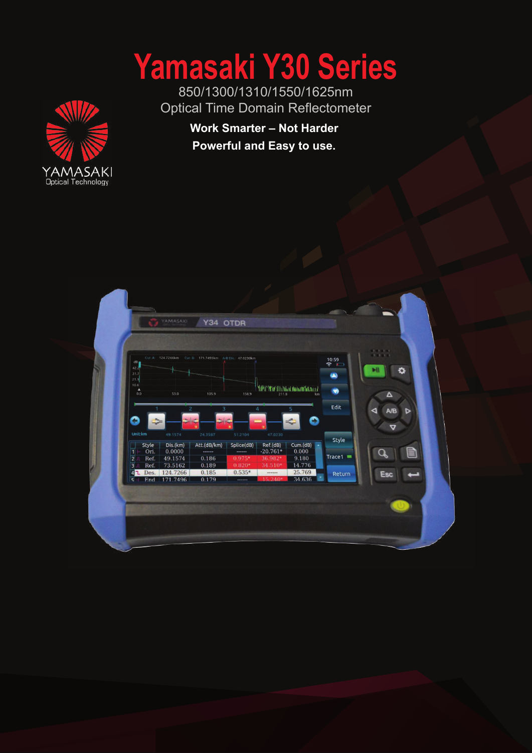# **Yamasaki Y30 Series**

850/1300/1310/1550/1625nm Optical Time Domain Reflectometer



**Work Smarter – Not Harder Powerful and Easy to use.**

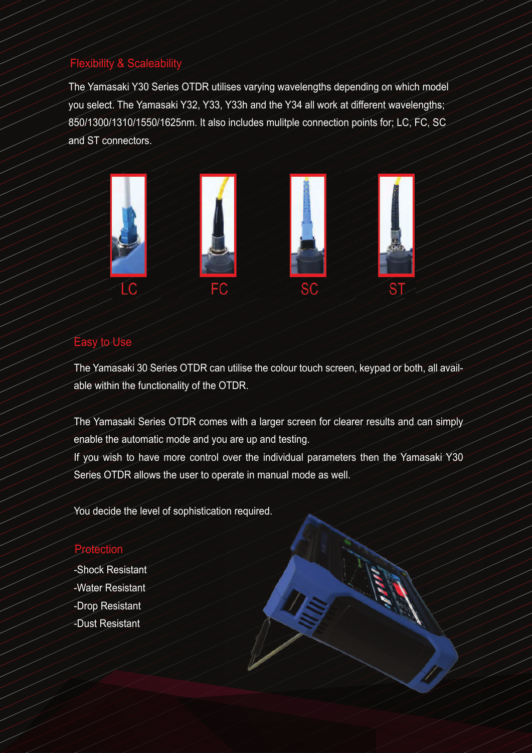## Flexibility & Scaleability

The Yamasaki Y30 Series OTDR utilises varying wavelengths depending on which model you select. The Yamasaki Y32, Y33, Y33h and the Y34 all work at different wavelengths; 850/1300/1310/1550/1625nm. It also includes mulitple connection points for; LC, FC, SC and ST connectors.



#### Easy to Use

The Yamasaki 30 Series OTDR can utilise the colour touch screen, keypad or both, all available within the functionality of the OTDR.

The Yamasaki Series OTDR comes with a larger screen for clearer results and can simply enable the automatic mode and you are up and testing.

If you wish to have more control over the individual parameters then the Yamasaki Y30 Series OTDR allows the user to operate in manual mode as well.

You decide the level of sophistication required.

# Protection

-Shock Resistant -Water Resistant -Drop Resistant -Dust Resistant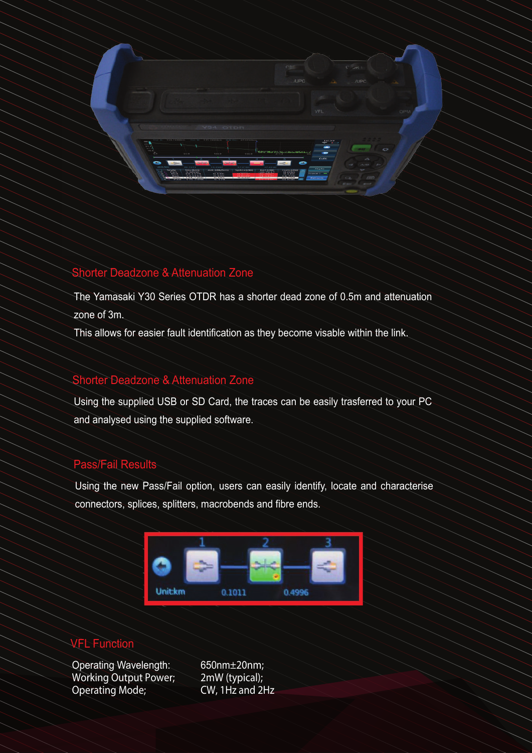

#### Shorter Deadzone & Attenuation Zone

The Yamasaki Y30 Series OTDR has a shorter dead zone of 0.5m and attenuation zone of 3m.

This allows for easier fault identification as they become visable within the link.

### Shorter Deadzone & Attenuation Zone

Using the supplied USB or SD Card, the traces can be easily trasferred to your PC and analysed using the supplied software.

#### Pass/Fail Results

Using the new Pass/Fail option, users can easily identify, locate and characterise connectors, splices, splitters, macrobends and fibre ends.



#### VFL Function

Operating Wavelength: 650nm±20nm;<br>Working Output Power; 2mW (typical); Working Output Power; 2mW (typical);<br>Operating Mode; CW, 1Hz and 2Hz Operating Mode;